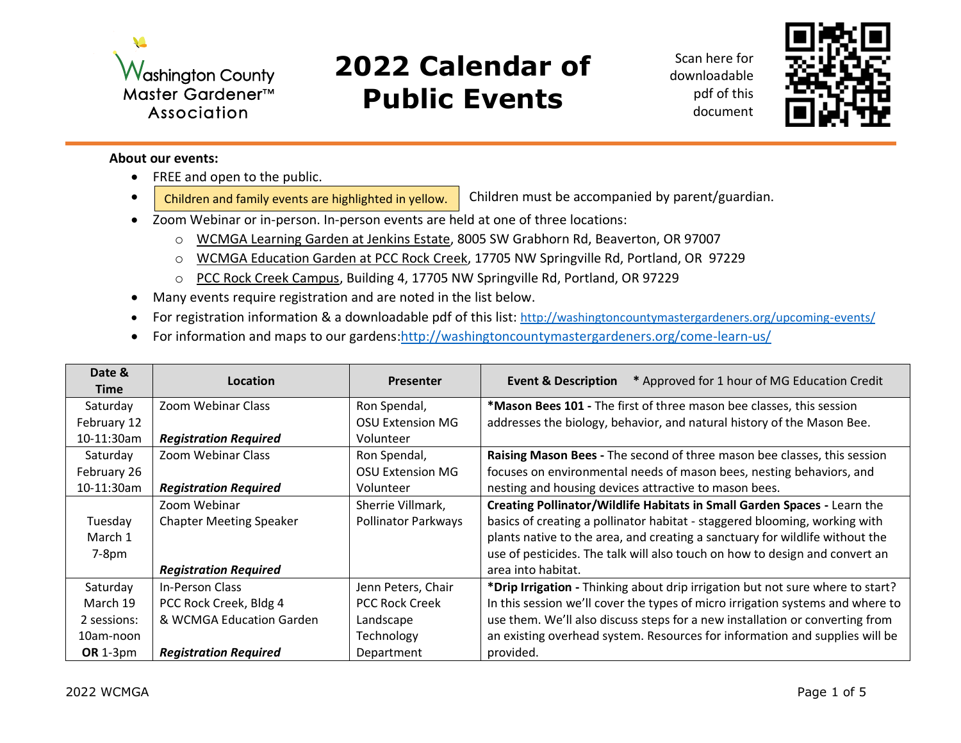

## **2022 Calendar of Public Events**

Scan here for downloadable pdf of this document



## **About our events:**

- FREE and open to the public.
- Children and family events are highlighted in yellow.  $\parallel$  Children must be accompanied by parent/guardian.
- Zoom Webinar or in-person. In-person events are held at one of three locations:
	- o WCMGA Learning Garden at Jenkins Estate, 8005 SW Grabhorn Rd, Beaverton, OR 97007
	- o WCMGA Education Garden at PCC Rock Creek, 17705 NW Springville Rd, Portland, OR 97229
	- o PCC Rock Creek Campus, Building 4, 17705 NW Springville Rd, Portland, OR 97229
- Many events require registration and are noted in the list below.
- For registration information & a downloadable pdf of this list: <http://washingtoncountymastergardeners.org/upcoming-events/>
- For information and maps to our gardens[:http://washingtoncountymastergardeners.org/come-learn-us/](http://washingtoncountymastergardeners.org/come-learn-us/)

| Date &          | Location                       | <b>Presenter</b>        | * Approved for 1 hour of MG Education Credit<br><b>Event &amp; Description</b> |
|-----------------|--------------------------------|-------------------------|--------------------------------------------------------------------------------|
| <b>Time</b>     |                                |                         |                                                                                |
| Saturday        | Zoom Webinar Class             | Ron Spendal,            | *Mason Bees 101 - The first of three mason bee classes, this session           |
| February 12     |                                | <b>OSU Extension MG</b> | addresses the biology, behavior, and natural history of the Mason Bee.         |
| 10-11:30am      | <b>Registration Required</b>   | Volunteer               |                                                                                |
| Saturday        | Zoom Webinar Class             | Ron Spendal,            | Raising Mason Bees - The second of three mason bee classes, this session       |
| February 26     |                                | <b>OSU Extension MG</b> | focuses on environmental needs of mason bees, nesting behaviors, and           |
| 10-11:30am      | <b>Registration Required</b>   | Volunteer               | nesting and housing devices attractive to mason bees.                          |
|                 | Zoom Webinar                   | Sherrie Villmark,       | Creating Pollinator/Wildlife Habitats in Small Garden Spaces - Learn the       |
| Tuesday         | <b>Chapter Meeting Speaker</b> | Pollinator Parkways     | basics of creating a pollinator habitat - staggered blooming, working with     |
| March 1         |                                |                         | plants native to the area, and creating a sanctuary for wildlife without the   |
| $7-8pm$         |                                |                         | use of pesticides. The talk will also touch on how to design and convert an    |
|                 | <b>Registration Required</b>   |                         | area into habitat.                                                             |
| Saturday        | <b>In-Person Class</b>         | Jenn Peters, Chair      | *Drip Irrigation - Thinking about drip irrigation but not sure where to start? |
| March 19        | PCC Rock Creek, Bldg 4         | <b>PCC Rock Creek</b>   | In this session we'll cover the types of micro irrigation systems and where to |
| 2 sessions:     | & WCMGA Education Garden       | Landscape               | use them. We'll also discuss steps for a new installation or converting from   |
| 10am-noon       |                                | Technology              | an existing overhead system. Resources for information and supplies will be    |
| <b>OR</b> 1-3pm | <b>Registration Required</b>   | Department              | provided.                                                                      |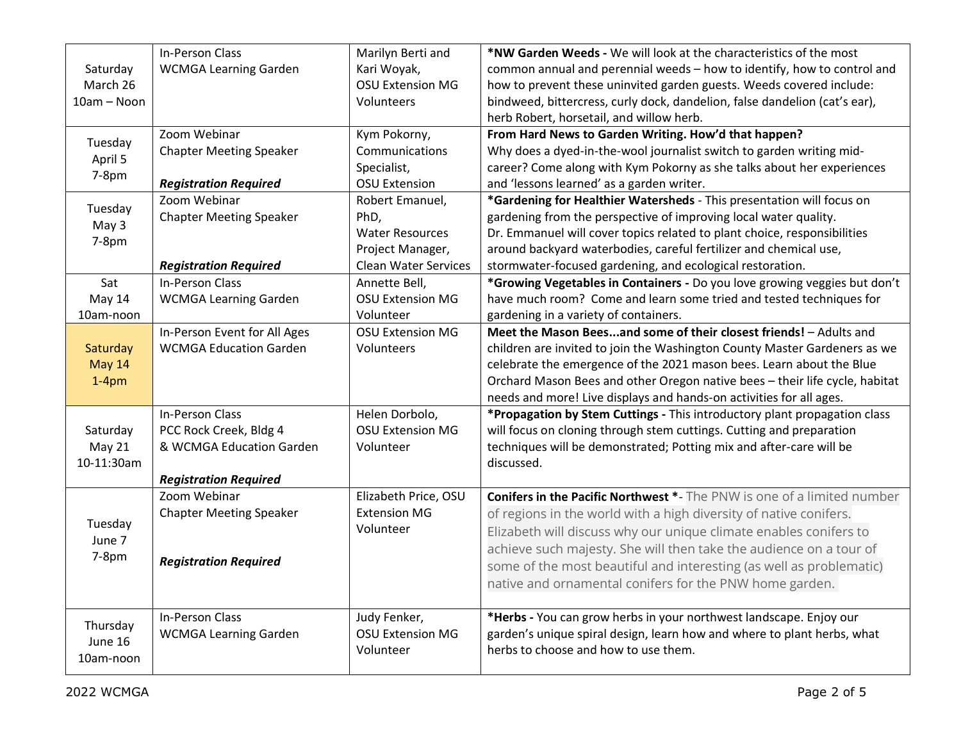|               | <b>In-Person Class</b>         | Marilyn Berti and           | *NW Garden Weeds - We will look at the characteristics of the most             |
|---------------|--------------------------------|-----------------------------|--------------------------------------------------------------------------------|
| Saturday      | <b>WCMGA Learning Garden</b>   | Kari Woyak,                 | common annual and perennial weeds - how to identify, how to control and        |
| March 26      |                                | <b>OSU Extension MG</b>     | how to prevent these uninvited garden guests. Weeds covered include:           |
| 10am - Noon   |                                | Volunteers                  | bindweed, bittercress, curly dock, dandelion, false dandelion (cat's ear),     |
|               |                                |                             | herb Robert, horsetail, and willow herb.                                       |
| Tuesday       | Zoom Webinar                   | Kym Pokorny,                | From Hard News to Garden Writing. How'd that happen?                           |
| April 5       | <b>Chapter Meeting Speaker</b> | Communications              | Why does a dyed-in-the-wool journalist switch to garden writing mid-           |
| 7-8pm         |                                | Specialist,                 | career? Come along with Kym Pokorny as she talks about her experiences         |
|               | <b>Registration Required</b>   | <b>OSU Extension</b>        | and 'lessons learned' as a garden writer.                                      |
| Tuesday       | Zoom Webinar                   | Robert Emanuel,             | *Gardening for Healthier Watersheds - This presentation will focus on          |
| May 3         | <b>Chapter Meeting Speaker</b> | PhD,                        | gardening from the perspective of improving local water quality.               |
| 7-8pm         |                                | <b>Water Resources</b>      | Dr. Emmanuel will cover topics related to plant choice, responsibilities       |
|               |                                | Project Manager,            | around backyard waterbodies, careful fertilizer and chemical use,              |
|               | <b>Registration Required</b>   | <b>Clean Water Services</b> | stormwater-focused gardening, and ecological restoration.                      |
| Sat           | <b>In-Person Class</b>         | Annette Bell,               | *Growing Vegetables in Containers - Do you love growing veggies but don't      |
| May 14        | <b>WCMGA Learning Garden</b>   | <b>OSU Extension MG</b>     | have much room? Come and learn some tried and tested techniques for            |
| 10am-noon     |                                | Volunteer                   | gardening in a variety of containers.                                          |
|               | In-Person Event for All Ages   | <b>OSU Extension MG</b>     | Meet the Mason Beesand some of their closest friends! - Adults and             |
| Saturday      | <b>WCMGA Education Garden</b>  | Volunteers                  | children are invited to join the Washington County Master Gardeners as we      |
| <b>May 14</b> |                                |                             | celebrate the emergence of the 2021 mason bees. Learn about the Blue           |
| $1-4pm$       |                                |                             | Orchard Mason Bees and other Oregon native bees - their life cycle, habitat    |
|               |                                |                             | needs and more! Live displays and hands-on activities for all ages.            |
|               | In-Person Class                | Helen Dorbolo,              | *Propagation by Stem Cuttings - This introductory plant propagation class      |
| Saturday      | PCC Rock Creek, Bldg 4         | <b>OSU Extension MG</b>     | will focus on cloning through stem cuttings. Cutting and preparation           |
| May 21        | & WCMGA Education Garden       | Volunteer                   | techniques will be demonstrated; Potting mix and after-care will be            |
| 10-11:30am    |                                |                             | discussed.                                                                     |
|               | <b>Registration Required</b>   |                             |                                                                                |
|               | Zoom Webinar                   | Elizabeth Price, OSU        | <b>Conifers in the Pacific Northwest *-</b> The PNW is one of a limited number |
|               | <b>Chapter Meeting Speaker</b> | <b>Extension MG</b>         | of regions in the world with a high diversity of native conifers.              |
| Tuesday       |                                | Volunteer                   | Elizabeth will discuss why our unique climate enables conifers to              |
| June 7        |                                |                             | achieve such majesty. She will then take the audience on a tour of             |
| 7-8pm         | <b>Registration Required</b>   |                             | some of the most beautiful and interesting (as well as problematic)            |
|               |                                |                             | native and ornamental conifers for the PNW home garden.                        |
|               |                                |                             |                                                                                |
|               | In-Person Class                | Judy Fenker,                | *Herbs - You can grow herbs in your northwest landscape. Enjoy our             |
| Thursday      | <b>WCMGA Learning Garden</b>   | <b>OSU Extension MG</b>     | garden's unique spiral design, learn how and where to plant herbs, what        |
| June 16       |                                | Volunteer                   | herbs to choose and how to use them.                                           |
| 10am-noon     |                                |                             |                                                                                |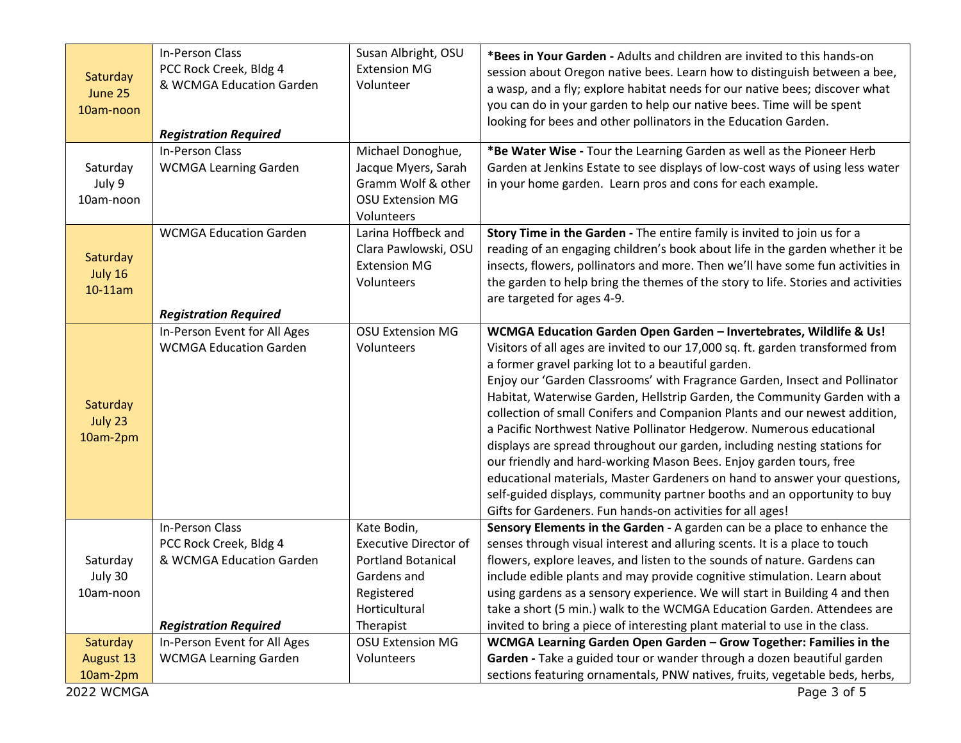| Saturday<br>June 25<br>10am-noon                | In-Person Class<br>PCC Rock Creek, Bldg 4<br>& WCMGA Education Garden<br><b>Registration Required</b> | Susan Albright, OSU<br><b>Extension MG</b><br>Volunteer                                                                             | *Bees in Your Garden - Adults and children are invited to this hands-on<br>session about Oregon native bees. Learn how to distinguish between a bee,<br>a wasp, and a fly; explore habitat needs for our native bees; discover what<br>you can do in your garden to help our native bees. Time will be spent<br>looking for bees and other pollinators in the Education Garden.                                                                                                                                                                                                                                                                                                                                                                                                                                                                                                                      |
|-------------------------------------------------|-------------------------------------------------------------------------------------------------------|-------------------------------------------------------------------------------------------------------------------------------------|------------------------------------------------------------------------------------------------------------------------------------------------------------------------------------------------------------------------------------------------------------------------------------------------------------------------------------------------------------------------------------------------------------------------------------------------------------------------------------------------------------------------------------------------------------------------------------------------------------------------------------------------------------------------------------------------------------------------------------------------------------------------------------------------------------------------------------------------------------------------------------------------------|
| Saturday<br>July 9<br>10am-noon                 | In-Person Class<br><b>WCMGA Learning Garden</b>                                                       | Michael Donoghue,<br>Jacque Myers, Sarah<br>Gramm Wolf & other<br><b>OSU Extension MG</b><br>Volunteers                             | *Be Water Wise - Tour the Learning Garden as well as the Pioneer Herb<br>Garden at Jenkins Estate to see displays of low-cost ways of using less water<br>in your home garden. Learn pros and cons for each example.                                                                                                                                                                                                                                                                                                                                                                                                                                                                                                                                                                                                                                                                                 |
| Saturday<br>July 16<br>10-11am                  | <b>WCMGA Education Garden</b>                                                                         | Larina Hoffbeck and<br>Clara Pawlowski, OSU<br><b>Extension MG</b><br>Volunteers                                                    | Story Time in the Garden - The entire family is invited to join us for a<br>reading of an engaging children's book about life in the garden whether it be<br>insects, flowers, pollinators and more. Then we'll have some fun activities in<br>the garden to help bring the themes of the story to life. Stories and activities<br>are targeted for ages 4-9.                                                                                                                                                                                                                                                                                                                                                                                                                                                                                                                                        |
| Saturday<br>July 23<br>10am-2pm                 | <b>Registration Required</b><br>In-Person Event for All Ages<br><b>WCMGA Education Garden</b>         | <b>OSU Extension MG</b><br>Volunteers                                                                                               | WCMGA Education Garden Open Garden - Invertebrates, Wildlife & Us!<br>Visitors of all ages are invited to our 17,000 sq. ft. garden transformed from<br>a former gravel parking lot to a beautiful garden.<br>Enjoy our 'Garden Classrooms' with Fragrance Garden, Insect and Pollinator<br>Habitat, Waterwise Garden, Hellstrip Garden, the Community Garden with a<br>collection of small Conifers and Companion Plants and our newest addition,<br>a Pacific Northwest Native Pollinator Hedgerow. Numerous educational<br>displays are spread throughout our garden, including nesting stations for<br>our friendly and hard-working Mason Bees. Enjoy garden tours, free<br>educational materials, Master Gardeners on hand to answer your questions,<br>self-guided displays, community partner booths and an opportunity to buy<br>Gifts for Gardeners. Fun hands-on activities for all ages! |
| Saturday<br>July 30<br>10am-noon                | In-Person Class<br>PCC Rock Creek, Bldg 4<br>& WCMGA Education Garden<br><b>Registration Required</b> | Kate Bodin,<br><b>Executive Director of</b><br><b>Portland Botanical</b><br>Gardens and<br>Registered<br>Horticultural<br>Therapist | Sensory Elements in the Garden - A garden can be a place to enhance the<br>senses through visual interest and alluring scents. It is a place to touch<br>flowers, explore leaves, and listen to the sounds of nature. Gardens can<br>include edible plants and may provide cognitive stimulation. Learn about<br>using gardens as a sensory experience. We will start in Building 4 and then<br>take a short (5 min.) walk to the WCMGA Education Garden. Attendees are<br>invited to bring a piece of interesting plant material to use in the class.                                                                                                                                                                                                                                                                                                                                               |
| Saturday<br>August 13<br>10am-2pm<br>2022 WCMGA | In-Person Event for All Ages<br><b>WCMGA Learning Garden</b>                                          | <b>OSU Extension MG</b><br>Volunteers                                                                                               | WCMGA Learning Garden Open Garden - Grow Together: Families in the<br>Garden - Take a guided tour or wander through a dozen beautiful garden<br>sections featuring ornamentals, PNW natives, fruits, vegetable beds, herbs,<br>Page 3 of 5                                                                                                                                                                                                                                                                                                                                                                                                                                                                                                                                                                                                                                                           |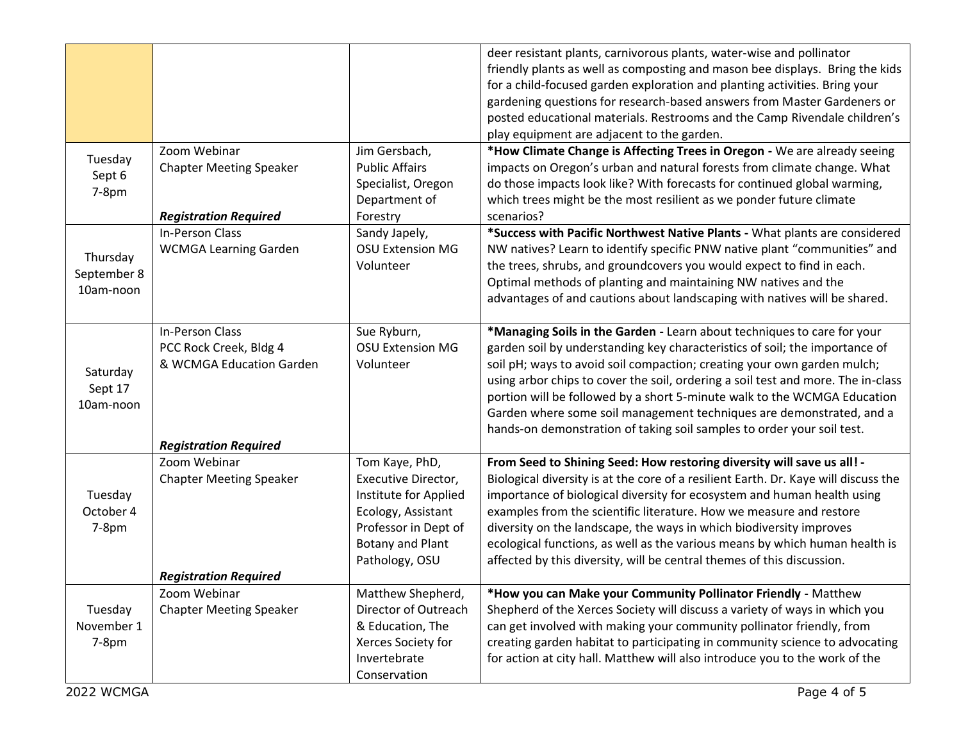|                                      |                                                                                                       |                                                                                                                                                    | deer resistant plants, carnivorous plants, water-wise and pollinator<br>friendly plants as well as composting and mason bee displays. Bring the kids<br>for a child-focused garden exploration and planting activities. Bring your<br>gardening questions for research-based answers from Master Gardeners or<br>posted educational materials. Restrooms and the Camp Rivendale children's<br>play equipment are adjacent to the garden.                                                                                                            |
|--------------------------------------|-------------------------------------------------------------------------------------------------------|----------------------------------------------------------------------------------------------------------------------------------------------------|-----------------------------------------------------------------------------------------------------------------------------------------------------------------------------------------------------------------------------------------------------------------------------------------------------------------------------------------------------------------------------------------------------------------------------------------------------------------------------------------------------------------------------------------------------|
| Tuesday<br>Sept 6<br>7-8pm           | Zoom Webinar<br><b>Chapter Meeting Speaker</b><br><b>Registration Required</b>                        | Jim Gersbach,<br><b>Public Affairs</b><br>Specialist, Oregon<br>Department of<br>Forestry                                                          | *How Climate Change is Affecting Trees in Oregon - We are already seeing<br>impacts on Oregon's urban and natural forests from climate change. What<br>do those impacts look like? With forecasts for continued global warming,<br>which trees might be the most resilient as we ponder future climate<br>scenarios?                                                                                                                                                                                                                                |
| Thursday<br>September 8<br>10am-noon | In-Person Class<br><b>WCMGA Learning Garden</b>                                                       | Sandy Japely,<br><b>OSU Extension MG</b><br>Volunteer                                                                                              | *Success with Pacific Northwest Native Plants - What plants are considered<br>NW natives? Learn to identify specific PNW native plant "communities" and<br>the trees, shrubs, and groundcovers you would expect to find in each.<br>Optimal methods of planting and maintaining NW natives and the<br>advantages of and cautions about landscaping with natives will be shared.                                                                                                                                                                     |
| Saturday<br>Sept 17<br>10am-noon     | In-Person Class<br>PCC Rock Creek, Bldg 4<br>& WCMGA Education Garden<br><b>Registration Required</b> | Sue Ryburn,<br><b>OSU Extension MG</b><br>Volunteer                                                                                                | *Managing Soils in the Garden - Learn about techniques to care for your<br>garden soil by understanding key characteristics of soil; the importance of<br>soil pH; ways to avoid soil compaction; creating your own garden mulch;<br>using arbor chips to cover the soil, ordering a soil test and more. The in-class<br>portion will be followed by a short 5-minute walk to the WCMGA Education<br>Garden where some soil management techniques are demonstrated, and a<br>hands-on demonstration of taking soil samples to order your soil test. |
| Tuesday<br>October 4<br>7-8pm        | Zoom Webinar<br><b>Chapter Meeting Speaker</b><br><b>Registration Required</b>                        | Tom Kaye, PhD,<br>Executive Director,<br>Institute for Applied<br>Ecology, Assistant<br>Professor in Dept of<br>Botany and Plant<br>Pathology, OSU | From Seed to Shining Seed: How restoring diversity will save us all! -<br>Biological diversity is at the core of a resilient Earth. Dr. Kaye will discuss the<br>importance of biological diversity for ecosystem and human health using<br>examples from the scientific literature. How we measure and restore<br>diversity on the landscape, the ways in which biodiversity improves<br>ecological functions, as well as the various means by which human health is<br>affected by this diversity, will be central themes of this discussion.     |
| Tuesday<br>November 1<br>$7-8pm$     | Zoom Webinar<br><b>Chapter Meeting Speaker</b>                                                        | Matthew Shepherd,<br>Director of Outreach<br>& Education, The<br>Xerces Society for<br>Invertebrate<br>Conservation                                | *How you can Make your Community Pollinator Friendly - Matthew<br>Shepherd of the Xerces Society will discuss a variety of ways in which you<br>can get involved with making your community pollinator friendly, from<br>creating garden habitat to participating in community science to advocating<br>for action at city hall. Matthew will also introduce you to the work of the                                                                                                                                                                 |
| 2022 WCMGA                           |                                                                                                       |                                                                                                                                                    | Page 4 of 5                                                                                                                                                                                                                                                                                                                                                                                                                                                                                                                                         |